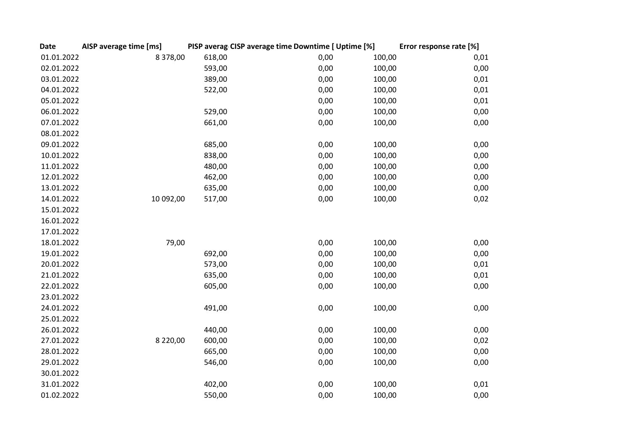| <b>Date</b> | AISP average time [ms] |        | PISP averag CISP average time Downtime [ Uptime [%] |        | Error response rate [%] |
|-------------|------------------------|--------|-----------------------------------------------------|--------|-------------------------|
| 01.01.2022  | 8 378,00               | 618,00 | 0,00                                                | 100,00 | 0,01                    |
| 02.01.2022  |                        | 593,00 | 0,00                                                | 100,00 | 0,00                    |
| 03.01.2022  |                        | 389,00 | 0,00                                                | 100,00 | 0,01                    |
| 04.01.2022  |                        | 522,00 | 0,00                                                | 100,00 | 0,01                    |
| 05.01.2022  |                        |        | 0,00                                                | 100,00 | 0,01                    |
| 06.01.2022  |                        | 529,00 | 0,00                                                | 100,00 | 0,00                    |
| 07.01.2022  |                        | 661,00 | 0,00                                                | 100,00 | 0,00                    |
| 08.01.2022  |                        |        |                                                     |        |                         |
| 09.01.2022  |                        | 685,00 | 0,00                                                | 100,00 | 0,00                    |
| 10.01.2022  |                        | 838,00 | 0,00                                                | 100,00 | 0,00                    |
| 11.01.2022  |                        | 480,00 | 0,00                                                | 100,00 | 0,00                    |
| 12.01.2022  |                        | 462,00 | 0,00                                                | 100,00 | 0,00                    |
| 13.01.2022  |                        | 635,00 | 0,00                                                | 100,00 | 0,00                    |
| 14.01.2022  | 10 092,00              | 517,00 | 0,00                                                | 100,00 | 0,02                    |
| 15.01.2022  |                        |        |                                                     |        |                         |
| 16.01.2022  |                        |        |                                                     |        |                         |
| 17.01.2022  |                        |        |                                                     |        |                         |
| 18.01.2022  | 79,00                  |        | 0,00                                                | 100,00 | 0,00                    |
| 19.01.2022  |                        | 692,00 | 0,00                                                | 100,00 | 0,00                    |
| 20.01.2022  |                        | 573,00 | 0,00                                                | 100,00 | 0,01                    |
| 21.01.2022  |                        | 635,00 | 0,00                                                | 100,00 | 0,01                    |
| 22.01.2022  |                        | 605,00 | 0,00                                                | 100,00 | 0,00                    |
| 23.01.2022  |                        |        |                                                     |        |                         |
| 24.01.2022  |                        | 491,00 | 0,00                                                | 100,00 | 0,00                    |
| 25.01.2022  |                        |        |                                                     |        |                         |
| 26.01.2022  |                        | 440,00 | 0,00                                                | 100,00 | 0,00                    |
| 27.01.2022  | 8 2 2 0 , 0 0          | 600,00 | 0,00                                                | 100,00 | 0,02                    |
| 28.01.2022  |                        | 665,00 | 0,00                                                | 100,00 | 0,00                    |
| 29.01.2022  |                        | 546,00 | 0,00                                                | 100,00 | 0,00                    |
| 30.01.2022  |                        |        |                                                     |        |                         |
| 31.01.2022  |                        | 402,00 | 0,00                                                | 100,00 | 0,01                    |
| 01.02.2022  |                        | 550,00 | 0,00                                                | 100,00 | 0,00                    |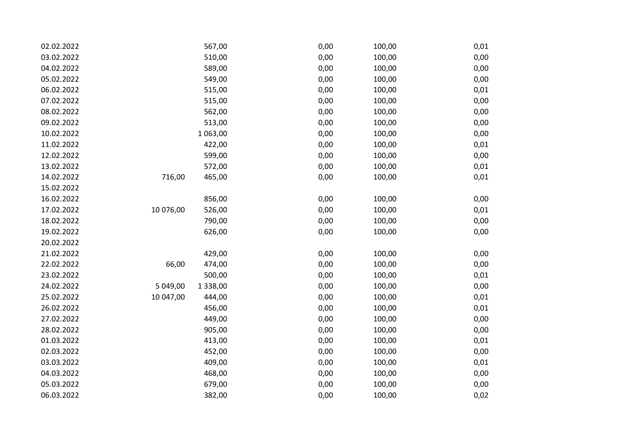| 02.02.2022 |           | 567,00        | 0,00 | 100,00 | 0,01 |
|------------|-----------|---------------|------|--------|------|
| 03.02.2022 |           | 510,00        | 0,00 | 100,00 | 0,00 |
| 04.02.2022 |           | 589,00        | 0,00 | 100,00 | 0,00 |
| 05.02.2022 |           | 549,00        | 0,00 | 100,00 | 0,00 |
| 06.02.2022 |           | 515,00        | 0,00 | 100,00 | 0,01 |
| 07.02.2022 |           | 515,00        | 0,00 | 100,00 | 0,00 |
| 08.02.2022 |           | 562,00        | 0,00 | 100,00 | 0,00 |
| 09.02.2022 |           | 513,00        | 0,00 | 100,00 | 0,00 |
| 10.02.2022 |           | 1 063,00      | 0,00 | 100,00 | 0,00 |
| 11.02.2022 |           | 422,00        | 0,00 | 100,00 | 0,01 |
| 12.02.2022 |           | 599,00        | 0,00 | 100,00 | 0,00 |
| 13.02.2022 |           | 572,00        | 0,00 | 100,00 | 0,01 |
| 14.02.2022 | 716,00    | 465,00        | 0,00 | 100,00 | 0,01 |
| 15.02.2022 |           |               |      |        |      |
| 16.02.2022 |           | 856,00        | 0,00 | 100,00 | 0,00 |
| 17.02.2022 | 10 076,00 | 526,00        | 0,00 | 100,00 | 0,01 |
| 18.02.2022 |           | 790,00        | 0,00 | 100,00 | 0,00 |
| 19.02.2022 |           | 626,00        | 0,00 | 100,00 | 0,00 |
| 20.02.2022 |           |               |      |        |      |
| 21.02.2022 |           | 429,00        | 0,00 | 100,00 | 0,00 |
| 22.02.2022 | 66,00     | 474,00        | 0,00 | 100,00 | 0,00 |
| 23.02.2022 |           | 500,00        | 0,00 | 100,00 | 0,01 |
| 24.02.2022 | 5 049,00  | 1 3 3 8 , 0 0 | 0,00 | 100,00 | 0,00 |
| 25.02.2022 | 10 047,00 | 444,00        | 0,00 | 100,00 | 0,01 |
| 26.02.2022 |           | 456,00        | 0,00 | 100,00 | 0,01 |
| 27.02.2022 |           | 449,00        | 0,00 | 100,00 | 0,00 |
| 28.02.2022 |           | 905,00        | 0,00 | 100,00 | 0,00 |
| 01.03.2022 |           | 413,00        | 0,00 | 100,00 | 0,01 |
| 02.03.2022 |           | 452,00        | 0,00 | 100,00 | 0,00 |
| 03.03.2022 |           | 409,00        | 0,00 | 100,00 | 0,01 |
| 04.03.2022 |           | 468,00        | 0,00 | 100,00 | 0,00 |
| 05.03.2022 |           | 679,00        | 0,00 | 100,00 | 0,00 |
| 06.03.2022 |           | 382,00        | 0,00 | 100,00 | 0,02 |